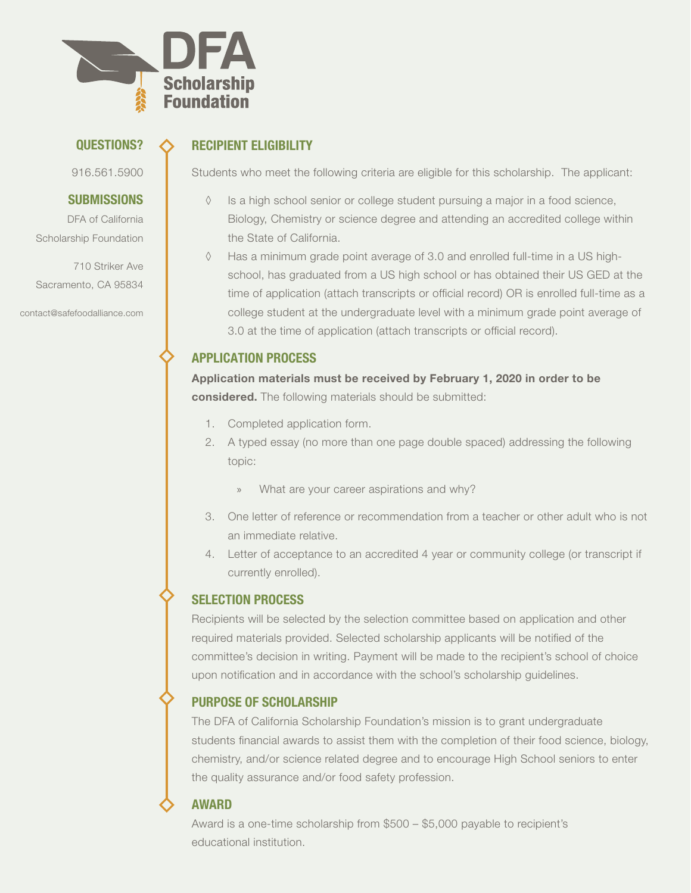

#### QUESTIONS?

916.561.5900

#### **SUBMISSIONS**

DFA of California Scholarship Foundation

710 Striker Ave Sacramento, CA 95834

contact@safefoodalliance.com

## RECIPIENT ELIGIBILITY

Students who meet the following criteria are eligible for this scholarship. The applicant:

- ◊ Is a high school senior or college student pursuing a major in a food science, Biology, Chemistry or science degree and attending an accredited college within the State of California.
- ◊ Has a minimum grade point average of 3.0 and enrolled full-time in a US highschool, has graduated from a US high school or has obtained their US GED at the time of application (attach transcripts or official record) OR is enrolled full-time as a college student at the undergraduate level with a minimum grade point average of 3.0 at the time of application (attach transcripts or official record).

## APPLICATION PROCESS

**Application materials must be received by February 1, 2020 in order to be considered.** The following materials should be submitted:

- 1. Completed application form.
- 2. A typed essay (no more than one page double spaced) addressing the following topic:
	- » What are your career aspirations and why?
- 3. One letter of reference or recommendation from a teacher or other adult who is not an immediate relative.
- 4. Letter of acceptance to an accredited 4 year or community college (or transcript if currently enrolled).

# SELECTION PROCESS

Recipients will be selected by the selection committee based on application and other required materials provided. Selected scholarship applicants will be notified of the committee's decision in writing. Payment will be made to the recipient's school of choice upon notification and in accordance with the school's scholarship guidelines.

# PURPOSE OF SCHOLARSHIP

The DFA of California Scholarship Foundation's mission is to grant undergraduate students financial awards to assist them with the completion of their food science, biology, chemistry, and/or science related degree and to encourage High School seniors to enter the quality assurance and/or food safety profession.

### AWARD

Award is a one-time scholarship from \$500 – \$5,000 payable to recipient's educational institution.